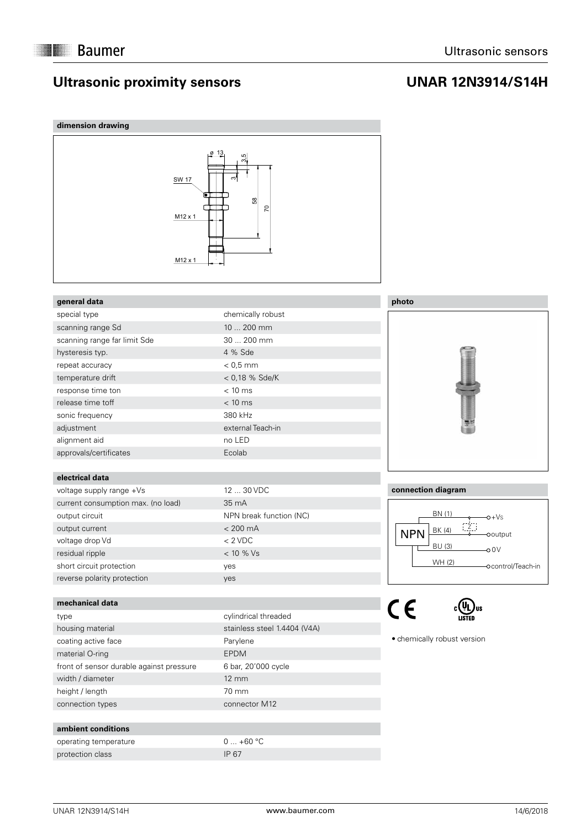## **Ultrasonic proximity sensors**

## **UNAR 12N3914/S14H**



### special type chemically robust scanning range Sd 10 ... 200 mm scanning range far limit Sde 30 ... 200 mm hysteresis typ. 4 % Sde repeat accuracy < 0,5 mm temperature drift  $< 0.18$  % Sde/K response time ton < 10 ms release time toff  $\sim$  10 ms sonic frequency 380 kHz adjustment external Teach-in alignment aid no LED approvals/certificates Ecolab

#### **electrical data**

**mechanical data**

| voltage supply range +Vs           | 12  30 VDC              |
|------------------------------------|-------------------------|
| current consumption max. (no load) | 35 mA                   |
| output circuit                     | NPN break function (NC) |
| output current                     | $< 200$ mA              |
| voltage drop Vd                    | $< 2$ VDC               |
| residual ripple                    | $< 10 \%$ Vs            |
| short circuit protection           | ves                     |
| reverse polarity protection        | yes                     |

| $12 - 30$ VDC           |
|-------------------------|
| $35 \text{ mA}$         |
| NPN break function (NC) |
| $< 200 \text{ mA}$      |
| ← 2 VDC                 |
| $< 10 \%$ Vs            |
| yes                     |
| yes                     |
|                         |



height / length 70 mm

```
connection types connector M12
```
operating temperature  $0 ... +60 °C$ protection class IP 67

**photo**



#### **connection diagram**



)<br>IIS

 $C \in$ 

 chemically robust version

**ambient conditions**